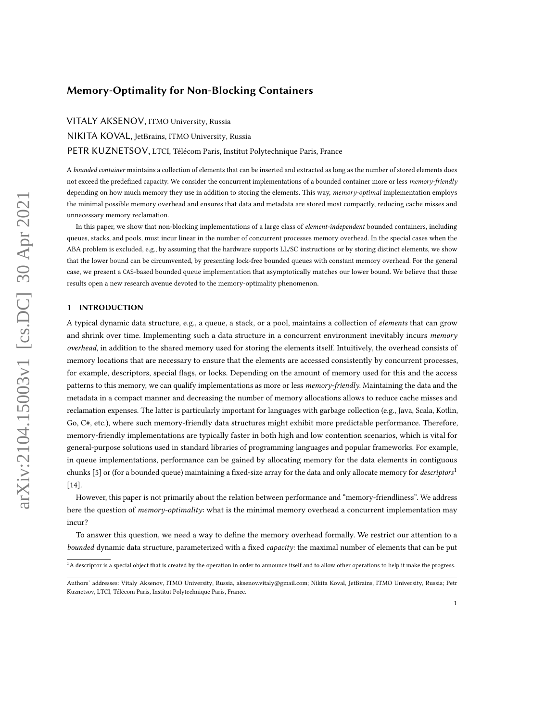# Memory-Optimality for Non-Blocking Containers

VITALY AKSENOV, ITMO University, Russia NIKITA KOVAL, JetBrains, ITMO University, Russia PETR KUZNETSOV, LTCI, Télécom Paris, Institut Polytechnique Paris, France

A bounded container maintains a collection of elements that can be inserted and extracted as long as the number of stored elements does not exceed the predefined capacity. We consider the concurrent implementations of a bounded container more or less memory-friendly depending on how much memory they use in addition to storing the elements. This way, memory-optimal implementation employs the minimal possible memory overhead and ensures that data and metadata are stored most compactly, reducing cache misses and unnecessary memory reclamation.

In this paper, we show that non-blocking implementations of a large class of element-independent bounded containers, including queues, stacks, and pools, must incur linear in the number of concurrent processes memory overhead. In the special cases when the ABA problem is excluded, e.g., by assuming that the hardware supports LL/SC instructions or by storing distinct elements, we show that the lower bound can be circumvented, by presenting lock-free bounded queues with constant memory overhead. For the general case, we present a CAS-based bounded queue implementation that asymptotically matches our lower bound. We believe that these results open a new research avenue devoted to the memory-optimality phenomenon.

#### 1 INTRODUCTION

A typical dynamic data structure, e.g., a queue, a stack, or a pool, maintains a collection of elements that can grow and shrink over time. Implementing such a data structure in a concurrent environment inevitably incurs memory overhead, in addition to the shared memory used for storing the elements itself. Intuitively, the overhead consists of memory locations that are necessary to ensure that the elements are accessed consistently by concurrent processes, for example, descriptors, special flags, or locks. Depending on the amount of memory used for this and the access patterns to this memory, we can qualify implementations as more or less *memory-friendly*. Maintaining the data and the metadata in a compact manner and decreasing the number of memory allocations allows to reduce cache misses and reclamation expenses. The latter is particularly important for languages with garbage collection (e.g., Java, Scala, Kotlin, Go, C#, etc.), where such memory-friendly data structures might exhibit more predictable performance. Therefore, memory-friendly implementations are typically faster in both high and low contention scenarios, which is vital for general-purpose solutions used in standard libraries of programming languages and popular frameworks. For example, in queue implementations, performance can be gained by allocating memory for the data elements in contiguous chunks [\[5\]](#page-15-0) or (for a bounded queue) maintaining a fixed-size array for the data and only allocate memory for *descriptors*<sup>[1](#page-0-0)</sup> [\[14\]](#page-16-0).

However, this paper is not primarily about the relation between performance and "memory-friendliness". We address here the question of memory-optimality: what is the minimal memory overhead a concurrent implementation may incur?

To answer this question, we need a way to define the memory overhead formally. We restrict our attention to a bounded dynamic data structure, parameterized with a fixed *capacity*: the maximal number of elements that can be put

<span id="page-0-0"></span> ${}^{1}$ A descriptor is a special object that is created by the operation in order to announce itself and to allow other operations to help it make the progress.

Authors' addresses: Vitaly Aksenov, ITMO University, Russia, aksenov.vitaly@gmail.com; Nikita Koval, JetBrains, ITMO University, Russia; Petr Kuznetsov, LTCI, Télécom Paris, Institut Polytechnique Paris, France.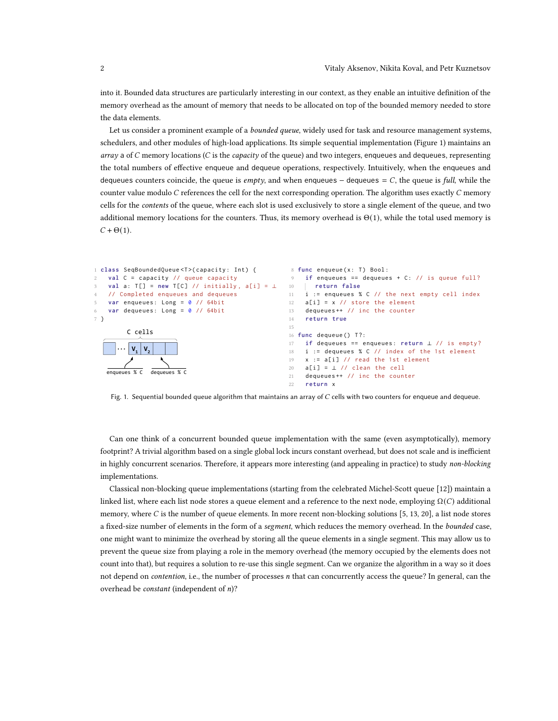into it. Bounded data structures are particularly interesting in our context, as they enable an intuitive definition of the memory overhead as the amount of memory that needs to be allocated on top of the bounded memory needed to store the data elements.

Let us consider a prominent example of a *bounded queue*, widely used for task and resource management systems, schedulers, and other modules of high-load applications. Its simple sequential implementation (Figure [1\)](#page-1-0) maintains an  $array$  a of  $C$  memory locations ( $C$  is the *capacity* of the queue) and two integers, enqueues and dequeues, representing the total numbers of effective enqueue and dequeue operations, respectively. Intuitively, when the enqueues and dequeues counters coincide, the queue is empty, and when enqueues – dequeues =  $C$ , the queue is full, while the counter value modulo  $C$  references the cell for the next corresponding operation. The algorithm uses exactly  $C$  memory cells for the contents of the queue, where each slot is used exclusively to store a single element of the queue, and two additional memory locations for the counters. Thus, its memory overhead is  $\Theta(1)$ , while the total used memory is  $C + \Theta(1)$ .

```
1 class SeqBoundedQueue <T>(capacity: Int) {
   val C = capacity // queue capacity
   val a: T[] = new T[C] // initially, a[i] = ⊥
4 // Completed enqueues and dequeues
    var enqueues: Long = \theta // 64bit
6 var dequeues : Long = 0 // 64bit
7 }
          V_1 V_2...
        C cells
    enqueues % C dequeues % C
                                                    8 func enqueue (x: T) Bool:
                                                    9 if enqueues == dequeues + C: // is queue full?
                                                    10 return false
                                                       i := enqueues % C // the next empty cell index
                                                    12 a[i] = x \text{ // store the element}13 dequeues ++ // inc the counter
                                                    14 return true
                                                    15
                                                    16 func dequeue () T?:
                                                    17 if dequeues == enqueues : return ⊥ // is empty ?
                                                    18 i := dequeues % C // index of the 1st element
                                                    19 x := a[i] // read the 1st element
                                                    20 a[i] = \perp // clean the cell
                                                    21 dequeues ++ // inc the counter
                                                    22 return x
```
Fig. 1. Sequential bounded queue algorithm that maintains an array of  $C$  cells with two counters for enqueue and dequeue.

Can one think of a concurrent bounded queue implementation with the same (even asymptotically), memory footprint? A trivial algorithm based on a single global lock incurs constant overhead, but does not scale and is inefficient in highly concurrent scenarios. Therefore, it appears more interesting (and appealing in practice) to study non-blocking implementations.

Classical non-blocking queue implementations (starting from the celebrated Michel-Scott queue [\[12\]](#page-16-1)) maintain a linked list, where each list node stores a queue element and a reference to the next node, employing  $\Omega(C)$  additional memory, where C is the number of queue elements. In more recent non-blocking solutions [\[5,](#page-15-0) [13,](#page-16-2) [20\]](#page-16-3), a list node stores a fixed-size number of elements in the form of a segment, which reduces the memory overhead. In the bounded case, one might want to minimize the overhead by storing all the queue elements in a single segment. This may allow us to prevent the queue size from playing a role in the memory overhead (the memory occupied by the elements does not count into that), but requires a solution to re-use this single segment. Can we organize the algorithm in a way so it does not depend on *contention*, i.e., the number of processes *n* that can concurrently access the queue? In general, can the overhead be *constant* (independent of  $n$ )?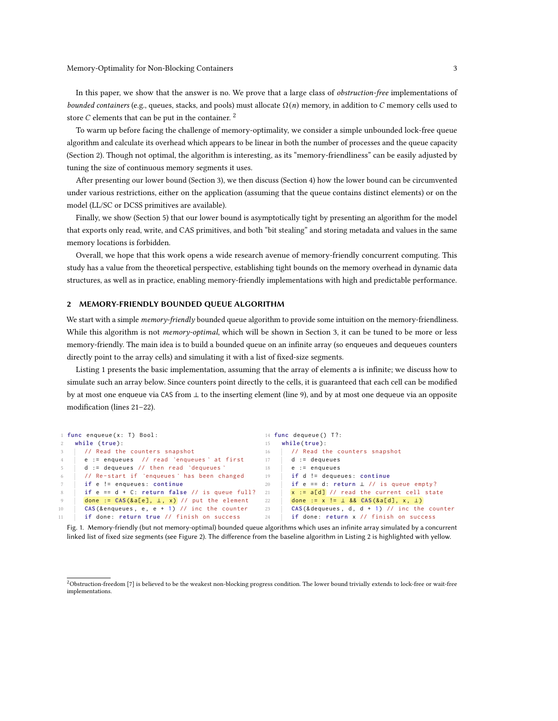In this paper, we show that the answer is no. We prove that a large class of *obstruction-free* implementations of bounded containers (e.g., queues, stacks, and pools) must allocate  $\Omega(n)$  memory, in addition to C memory cells used to store  $C$  elements that can be put in the container.  $2$ 

To warm up before facing the challenge of memory-optimality, we consider a simple unbounded lock-free queue algorithm and calculate its overhead which appears to be linear in both the number of processes and the queue capacity (Section [2\)](#page-2-1). Though not optimal, the algorithm is interesting, as its "memory-friendliness" can be easily adjusted by tuning the size of continuous memory segments it uses.

After presenting our lower bound (Section [3\)](#page-3-0), we then discuss (Section [4\)](#page-8-0) how the lower bound can be circumvented under various restrictions, either on the application (assuming that the queue contains distinct elements) or on the model (LL/SC or DCSS primitives are available).

Finally, we show (Section [5\)](#page-11-0) that our lower bound is asymptotically tight by presenting an algorithm for the model that exports only read, write, and CAS primitives, and both "bit stealing" and storing metadata and values in the same memory locations is forbidden.

Overall, we hope that this work opens a wide research avenue of memory-friendly concurrent computing. This study has a value from the theoretical perspective, establishing tight bounds on the memory overhead in dynamic data structures, as well as in practice, enabling memory-friendly implementations with high and predictable performance.

# <span id="page-2-1"></span>2 MEMORY-FRIENDLY BOUNDED QUEUE ALGORITHM

We start with a simple memory-friendly bounded queue algorithm to provide some intuition on the memory-friendliness. While this algorithm is not *memory-optimal*, which will be shown in Section [3,](#page-3-0) it can be tuned to be more or less memory-friendly. The main idea is to build a bounded queue on an infinite array (so enqueues and dequeues counters directly point to the array cells) and simulating it with a list of fixed-size segments.

Listing [1](#page-2-2) presents the basic implementation, assuming that the array of elements a is infinite; we discuss how to simulate such an array below. Since counters point directly to the cells, it is guaranteed that each cell can be modified by at most one enqueue via CAS from ⊥ to the inserting element (line [9\)](#page-2-3), and by at most one dequeue via an opposite modification (lines [21](#page-2-4)[–22\)](#page-2-5).

```
1 func enqueue (x: T) Bool:
2 while ( true ):
     // Read the counters snapshot
4 \mid e := enqueues // read `enqueues ` at first
5 d := dequeues // then read `dequeues `
6 // Re - start if `enqueues ` has been changed
7 if e != enqueues : continue
      if e == d + C: return false // is queue full? 21
9 done := CAS(&a[e], \perp, x) // put the element
10 CAS (& enqueues, e, e + 1) // inc the counter
11 if done: return true // finish on success
                                                   14 func dequeue () T?:
                                                   15 while ( true ):
                                                   16 // Read the counters snapshot
                                                  17 d := dequeues
                                                 18 e := enqueues
                                                   19 if d != dequeues : continue
                                                   20 if e == d: return ⊥ // is queue empty?
                                                         x := a[d] // read the current cell state
                                                   22 done := x != ⊥ && CAS(&a[d], x, ⊥)
                                                   23 CAS (& dequeues, d, d + 1) // inc the counter
                                                   24 if done: return x // finish on success
```
<span id="page-2-5"></span><span id="page-2-4"></span><span id="page-2-3"></span>Fig. 1. Memory-friendly (but not memory-optimal) bounded queue algorithms which uses an infinite array simulated by a concurrent linked list of fixed size segments (see Figure [2\)](#page-3-1). The difference from the baseline algorithm in Listing [2](#page-9-0) is highlighted with yellow.

<span id="page-2-0"></span><sup>&</sup>lt;sup>2</sup>Obstruction-freedom [\[7\]](#page-15-1) is believed to be the weakest non-blocking progress condition. The lower bound trivially extends to lock-free or wait-free implementations.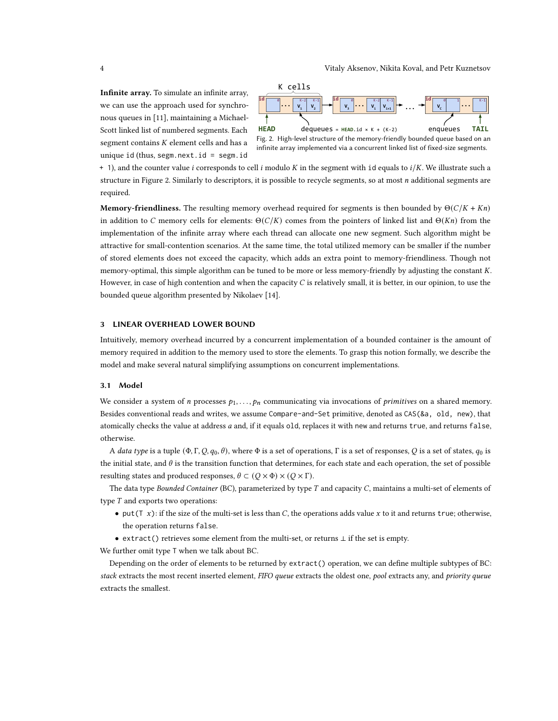Infinite array. To simulate an infinite array, we can use the approach used for synchronous queues in [\[11\]](#page-16-4), maintaining a Michael-Scott linked list of numbered segments. Each segment contains  $K$  element cells and has a unique id (thus, segm.next.id = segm.id

<span id="page-3-1"></span>



 $+$  1), and the counter value *i* corresponds to cell *i* modulo *K* in the segment with id equals to *i*/*K*. We illustrate such a structure in Figure [2.](#page-3-1) Similarly to descriptors, it is possible to recycle segments, so at most  $n$  additional segments are required.

**Memory-friendliness.** The resulting memory overhead required for segments is then bounded by  $\Theta(C/K + Kn)$ in addition to C memory cells for elements:  $\Theta(C/K)$  comes from the pointers of linked list and  $\Theta(Kn)$  from the implementation of the infinite array where each thread can allocate one new segment. Such algorithm might be attractive for small-contention scenarios. At the same time, the total utilized memory can be smaller if the number of stored elements does not exceed the capacity, which adds an extra point to memory-friendliness. Though not memory-optimal, this simple algorithm can be tuned to be more or less memory-friendly by adjusting the constant K. However, in case of high contention and when the capacity  $C$  is relatively small, it is better, in our opinion, to use the bounded queue algorithm presented by Nikolaev [\[14\]](#page-16-0).

# <span id="page-3-0"></span>3 LINEAR OVERHEAD LOWER BOUND

Intuitively, memory overhead incurred by a concurrent implementation of a bounded container is the amount of memory required in addition to the memory used to store the elements. To grasp this notion formally, we describe the model and make several natural simplifying assumptions on concurrent implementations.

#### 3.1 Model

We consider a system of *n* processes  $p_1, \ldots, p_n$  communicating via invocations of *primitives* on a shared memory. Besides conventional reads and writes, we assume Compare-and-Set primitive, denoted as CAS(&a, old, new), that atomically checks the value at address a and, if it equals old, replaces it with new and returns true, and returns false, otherwise.

A data type is a tuple  $(\Phi, \Gamma, Q, q_0, \theta)$ , where  $\Phi$  is a set of operations, Γ is a set of responses, Q is a set of states,  $q_0$  is the initial state, and  $\theta$  is the transition function that determines, for each state and each operation, the set of possible resulting states and produced responses,  $\theta \subset (Q \times \Phi) \times (Q \times \Gamma)$ .

The data type Bounded Container (BC), parameterized by type  $T$  and capacity  $C$ , maintains a multi-set of elements of type  $T$  and exports two operations:

- put(T  $x$ ): if the size of the multi-set is less than C, the operations adds value  $x$  to it and returns true; otherwise, the operation returns false.
- extract() retrieves some element from the multi-set, or returns ⊥ if the set is empty.

We further omit type T when we talk about BC.

Depending on the order of elements to be returned by extract() operation, we can define multiple subtypes of BC: stack extracts the most recent inserted element, FIFO queue extracts the oldest one, pool extracts any, and priority queue extracts the smallest.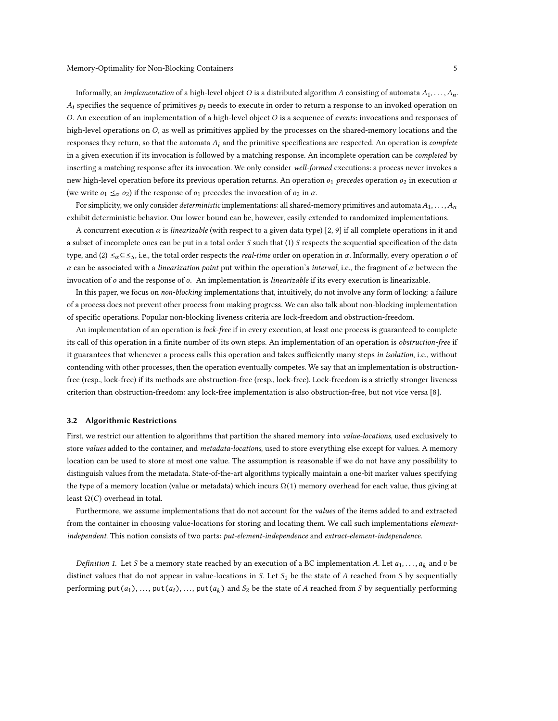Informally, an *implementation* of a high-level object O is a distributed algorithm A consisting of automata  $A_1, \ldots, A_n$ .  $A_i$  specifies the sequence of primitives  $p_i$  needs to execute in order to return a response to an invoked operation on  $O$ . An execution of an implementation of a high-level object  $O$  is a sequence of *events*: invocations and responses of high-level operations on  $O$ , as well as primitives applied by the processes on the shared-memory locations and the responses they return, so that the automata  $A_i$  and the primitive specifications are respected. An operation is *complete* in a given execution if its invocation is followed by a matching response. An incomplete operation can be *completed* by inserting a matching response after its invocation. We only consider well-formed executions: a process never invokes a new high-level operation before its previous operation returns. An operation  $o_1$  precedes operation  $o_2$  in execution  $\alpha$ (we write  $o_1 \leq_\alpha o_2$ ) if the response of  $o_1$  precedes the invocation of  $o_2$  in  $\alpha$ .

For simplicity, we only consider *deterministic* implementations: all shared-memory primitives and automata  $A_1, \ldots, A_n$ exhibit deterministic behavior. Our lower bound can be, however, easily extended to randomized implementations.

A concurrent execution  $\alpha$  is linearizable (with respect to a given data type) [\[2,](#page-15-2) [9\]](#page-16-5) if all complete operations in it and a subset of incomplete ones can be put in a total order  $S$  such that (1)  $S$  respects the sequential specification of the data type, and  $(2) \leq_{\alpha} \subseteq \leq_S$ , i.e., the total order respects the *real-time* order on operation in  $\alpha$ . Informally, every operation  $o$  of  $\alpha$  can be associated with a linearization point put within the operation's interval, i.e., the fragment of  $\alpha$  between the invocation of  $o$  and the response of  $o$ . An implementation is linearizable if its every execution is linearizable.

In this paper, we focus on non-blocking implementations that, intuitively, do not involve any form of locking: a failure of a process does not prevent other process from making progress. We can also talk about non-blocking implementation of specific operations. Popular non-blocking liveness criteria are lock-freedom and obstruction-freedom.

An implementation of an operation is lock-free if in every execution, at least one process is guaranteed to complete its call of this operation in a finite number of its own steps. An implementation of an operation is obstruction-free if it guarantees that whenever a process calls this operation and takes sufficiently many steps in isolation, i.e., without contending with other processes, then the operation eventually competes. We say that an implementation is obstructionfree (resp., lock-free) if its methods are obstruction-free (resp., lock-free). Lock-freedom is a strictly stronger liveness criterion than obstruction-freedom: any lock-free implementation is also obstruction-free, but not vice versa [\[8\]](#page-15-3).

#### 3.2 Algorithmic Restrictions

First, we restrict our attention to algorithms that partition the shared memory into value-locations, used exclusively to store values added to the container, and *metadata-locations*, used to store everything else except for values. A memory location can be used to store at most one value. The assumption is reasonable if we do not have any possibility to distinguish values from the metadata. State-of-the-art algorithms typically maintain a one-bit marker values specifying the type of a memory location (value or metadata) which incurs  $\Omega(1)$  memory overhead for each value, thus giving at least  $Ω(C)$  overhead in total.

Furthermore, we assume implementations that do not account for the values of the items added to and extracted from the container in choosing value-locations for storing and locating them. We call such implementations elementindependent. This notion consists of two parts: put-element-independence and extract-element-independence.

*Definition 1.* Let *S* be a memory state reached by an execution of a BC implementation *A*. Let  $a_1, \ldots, a_k$  and  $v$  be distinct values that do not appear in value-locations in S. Let  $S_1$  be the state of A reached from S by sequentially performing  $put(a_1), ..., put(a_i), ..., put(a_k)$  and  $S_2$  be the state of A reached from S by sequentially performing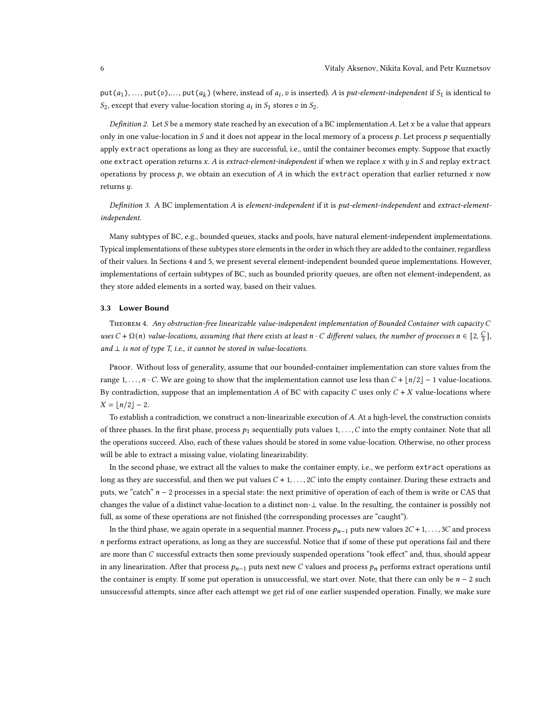put(a<sub>1</sub>), ..., put(v),..., put(a<sub>k</sub>) (where, instead of a<sub>i</sub>, v is inserted). A is put-element-independent if S<sub>1</sub> is identical to  $S_2$ , except that every value-location storing  $a_i$  in  $S_1$  stores v in  $S_2$ .

Definition 2. Let S be a memory state reached by an execution of a BC implementation A. Let  $x$  be a value that appears only in one value-location in S and it does not appear in the local memory of a process  $p$ . Let process  $p$  sequentially apply extract operations as long as they are successful, i.e., until the container becomes empty. Suppose that exactly one extract operation returns  $x$ . A is extract-element-independent if when we replace  $x$  with  $y$  in  $S$  and replay extract operations by process  $p$ , we obtain an execution of  $A$  in which the extract operation that earlier returned  $x$  now returns *.* 

Definition 3. A BC implementation A is element-independent if it is put-element-independent and extract-elementindependent.

Many subtypes of BC, e.g., bounded queues, stacks and pools, have natural element-independent implementations. Typical implementations of these subtypes store elements in the order in which they are added to the container, regardless of their values. In Sections [4](#page-8-0) and [5,](#page-11-0) we present several element-independent bounded queue implementations. However, implementations of certain subtypes of BC, such as bounded priority queues, are often not element-independent, as they store added elements in a sorted way, based on their values.

### 3.3 Lower Bound

<span id="page-5-0"></span>THEOREM 4. Any obstruction-free linearizable value-independent implementation of Bounded Container with capacity  $C$ uses  $C + \Omega(n)$  value-locations, assuming that there exists at least  $n \cdot C$  different values, the number of processes  $n \in [2, \frac{C}{3}]$ , and  $\perp$  is not of type T, i.e., it cannot be stored in value-locations.

Proof. Without loss of generality, assume that our bounded-container implementation can store values from the range 1, ...,  $n \cdot C$ . We are going to show that the implementation cannot use less than  $C + \lfloor n/2 \rfloor - 1$  value-locations. By contradiction, suppose that an implementation A of BC with capacity C uses only  $C + X$  value-locations where  $X = \lfloor n/2 \rfloor - 2$ .

To establish a contradiction, we construct a non-linearizable execution of A. At a high-level, the construction consists of three phases. In the first phase, process  $p_1$  sequentially puts values  $1, \ldots, C$  into the empty container. Note that all the operations succeed. Also, each of these values should be stored in some value-location. Otherwise, no other process will be able to extract a missing value, violating linearizability.

In the second phase, we extract all the values to make the container empty, i.e., we perform extract operations as long as they are successful, and then we put values  $C + 1, \ldots, 2C$  into the empty container. During these extracts and puts, we "catch"  $n - 2$  processes in a special state: the next primitive of operation of each of them is write or CAS that changes the value of a distinct value-location to a distinct non-⊥ value. In the resulting, the container is possibly not full, as some of these operations are not finished (the corresponding processes are "caught").

In the third phase, we again operate in a sequential manner. Process  $p_{n-1}$  puts new values  $2C + 1, \ldots, 3C$  and process performs extract operations, as long as they are successful. Notice that if some of these put operations fail and there are more than C successful extracts then some previously suspended operations "took effect" and, thus, should appear in any linearization. After that process  $p_{n-1}$  puts next new C values and process  $p_n$  performs extract operations until the container is empty. If some put operation is unsuccessful, we start over. Note, that there can only be  $n - 2$  such unsuccessful attempts, since after each attempt we get rid of one earlier suspended operation. Finally, we make sure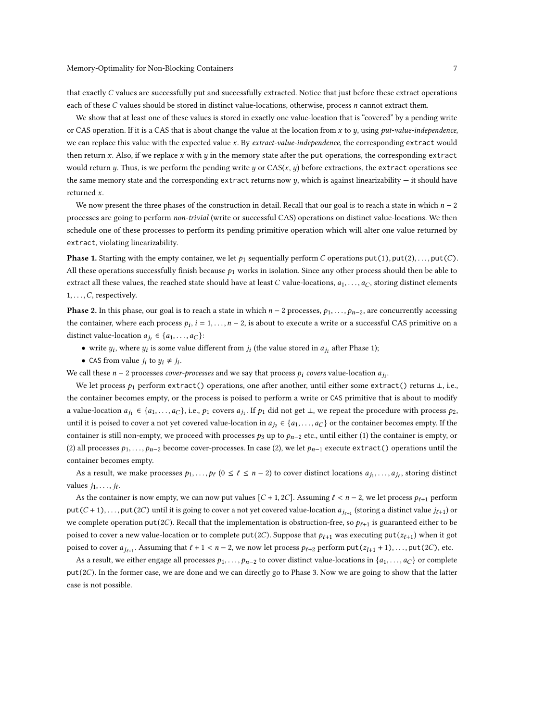that exactly  $C$  values are successfully put and successfully extracted. Notice that just before these extract operations each of these  $C$  values should be stored in distinct value-locations, otherwise, process  $n$  cannot extract them.

We show that at least one of these values is stored in exactly one value-location that is "covered" by a pending write or CAS operation. If it is a CAS that is about change the value at the location from  $x$  to  $y$ , using  $put-value-independentce$ , we can replace this value with the expected value x. By extract-value-independence, the corresponding extract would then return  $x$ . Also, if we replace  $x$  with  $y$  in the memory state after the put operations, the corresponding extract would return y. Thus, is we perform the pending write y or  $CAS(x, y)$  before extractions, the extract operations see the same memory state and the corresponding extract returns now  $y$ , which is against linearizability  $-$  it should have returned  $x$ .

We now present the three phases of the construction in detail. Recall that our goal is to reach a state in which  $n-2$ processes are going to perform non-trivial (write or successful CAS) operations on distinct value-locations. We then schedule one of these processes to perform its pending primitive operation which will alter one value returned by extract, violating linearizability.

**Phase 1.** Starting with the empty container, we let  $p_1$  sequentially perform C operations put(1), put(2), ..., put(C). All these operations successfully finish because  $p_1$  works in isolation. Since any other process should then be able to extract all these values, the reached state should have at least C value-locations,  $a_1, \ldots, a_C$ , storing distinct elements  $1, \ldots, C$ , respectively.

**Phase 2.** In this phase, our goal is to reach a state in which  $n-2$  processes,  $p_1, \ldots, p_{n-2}$ , are concurrently accessing the container, where each process  $p_i$ ,  $i = 1, ..., n-2$ , is about to execute a write or a successful CAS primitive on a distinct value-location  $a_{j_i} \in \{a_1, \ldots, a_C\}$ :

- write  $y_i$ , where  $y_i$  is some value different from  $j_i$  (the value stored in  $a_{j_i}$  after Phase 1);
- CAS from value  $j_i$  to  $y_i \neq j_i$ .

We call these  $n-2$  processes *cover-processes* and we say that process  $p_i$  *covers* value-location  $a_{j_i}$ .

We let process  $p_1$  perform extract() operations, one after another, until either some extract() returns  $\perp$ , i.e., the container becomes empty, or the process is poised to perform a write or CAS primitive that is about to modify a value-location  $a_{j_1} \in \{a_1, \ldots, a_C\}$ , i.e.,  $p_1$  covers  $a_{j_1}$ . If  $p_1$  did not get  $\bot$ , we repeat the procedure with process  $p_2$ , until it is poised to cover a not yet covered value-location in  $a_{j_2} \in \{a_1, \ldots, a_C\}$  or the container becomes empty. If the container is still non-empty, we proceed with processes  $p_3$  up to  $p_{n-2}$  etc., until either (1) the container is empty, or (2) all processes  $p_1, \ldots, p_{n-2}$  become cover-processes. In case (2), we let  $p_{n-1}$  execute extract() operations until the container becomes empty.

As a result, we make processes  $p_1, \ldots, p_\ell$   $(0 \le \ell \le n-2)$  to cover distinct locations  $a_{j_1}, \ldots, a_{j_\ell}$ , storing distinct values  $j_1, \ldots, j_\ell$ .

As the container is now empty, we can now put values  $[C + 1, 2C]$ . Assuming  $\ell < n - 2$ , we let process  $p_{\ell+1}$  perform put  $(C + 1)$ , ..., put (2C) until it is going to cover a not yet covered value-location  $a_{j_{f+1}}$  (storing a distinct value  $j_{f+1}$ ) or we complete operation put(2C). Recall that the implementation is obstruction-free, so  $p_{\ell+1}$  is guaranteed either to be poised to cover a new value-location or to complete put(2C). Suppose that  $p_{\ell+1}$  was executing put( $z_{\ell+1}$ ) when it got poised to cover  $a_{j_{\ell+1}}$ . Assuming that  $\ell + 1 < n - 2$ , we now let process  $p_{\ell+2}$  perform put( $z_{l+1} + 1$ ), ..., put(2C), etc.

As a result, we either engage all processes  $p_1, \ldots, p_{n-2}$  to cover distinct value-locations in  $\{a_1, \ldots, a_C\}$  or complete  $put(2C)$ . In the former case, we are done and we can directly go to Phase 3. Now we are going to show that the latter case is not possible.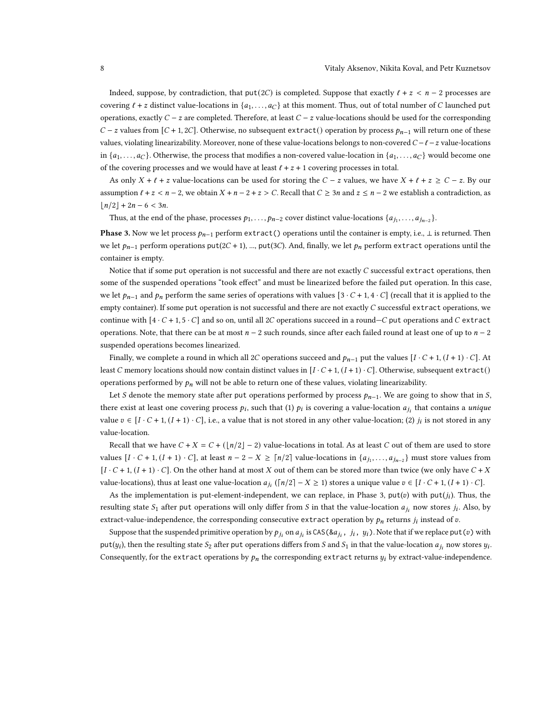Indeed, suppose, by contradiction, that  $put(2C)$  is completed. Suppose that exactly  $l + z < n - 2$  processes are covering  $\ell + z$  distinct value-locations in  $\{a_1, \ldots, a_C\}$  at this moment. Thus, out of total number of C launched put operations, exactly  $C - z$  are completed. Therefore, at least  $C - z$  value-locations should be used for the corresponding  $C - z$  values from [ $C + 1$ , 2C]. Otherwise, no subsequent extract() operation by process  $p_{n-1}$  will return one of these values, violating linearizability. Moreover, none of these value-locations belongs to non-covered  $C - \ell - z$  value-locations in  $\{a_1, \ldots, a_C\}$ . Otherwise, the process that modifies a non-covered value-location in  $\{a_1, \ldots, a_C\}$  would become one of the covering processes and we would have at least  $\ell + z + 1$  covering processes in total.

As only  $X + \ell + z$  value-locations can be used for storing the  $C - z$  values, we have  $X + \ell + z \ge C - z$ . By our assumption  $l + z < n - 2$ , we obtain  $X + n - 2 + z > C$ . Recall that  $C \ge 3n$  and  $z \le n - 2$  we establish a contradiction, as  $|n/2| + 2n - 6 < 3n$ .

Thus, at the end of the phase, processes  $p_1, \ldots, p_{n-2}$  cover distinct value-locations  $\{a_{j_1}, \ldots, a_{j_{n-2}}\}$ .

**Phase 3.** Now we let process  $p_{n-1}$  perform extract() operations until the container is empty, i.e.,  $\perp$  is returned. Then we let  $p_{n-1}$  perform operations put(2C + 1), ..., put(3C). And, finally, we let  $p_n$  perform extract operations until the container is empty.

Notice that if some put operation is not successful and there are not exactly  $C$  successful extract operations, then some of the suspended operations "took effect" and must be linearized before the failed put operation. In this case, we let  $p_{n-1}$  and  $p_n$  perform the same series of operations with values [3  $\cdot$  C + 1, 4  $\cdot$  C] (recall that it is applied to the empty container). If some put operation is not successful and there are not exactly  $C$  successful extract operations, we continue with  $[4 \cdot C + 1, 5 \cdot C]$  and so on, until all 2C operations succeed in a round—C put operations and C extract operations. Note, that there can be at most  $n - 2$  such rounds, since after each failed round at least one of up to  $n - 2$ suspended operations becomes linearized.

Finally, we complete a round in which all 2C operations succeed and  $p_{n-1}$  put the values  $[I \cdot C + 1, (I + 1) \cdot C]$ . At least C memory locations should now contain distinct values in  $[I \cdot C + 1, (I + 1) \cdot C]$ . Otherwise, subsequent extract() operations performed by  $p_n$  will not be able to return one of these values, violating linearizability.

Let S denote the memory state after put operations performed by process  $p_{n-1}$ . We are going to show that in S, there exist at least one covering process  $p_i$ , such that (1)  $p_i$  is covering a value-location  $a_{j_i}$  that contains a *unique* value  $v \in [I \cdot C + 1, (I + 1) \cdot C]$ , i.e., a value that is not stored in any other value-location; (2)  $j_i$  is not stored in any value-location.

Recall that we have  $C + X = C + (\lfloor n/2 \rfloor - 2)$  value-locations in total. As at least C out of them are used to store values  $[I \cdot C + 1, (I + 1) \cdot C]$ , at least  $n - 2 - X \ge \lceil n/2 \rceil$  value-locations in  $\{a_{j_1}, \ldots, a_{j_{n-2}}\}$  must store values from  $[I \cdot C + 1, (I + 1) \cdot C]$ . On the other hand at most X out of them can be stored more than twice (we only have  $C + X$ value-locations), thus at least one value-location  $a_{j_i}$  ( $\lceil n/2 \rceil - X \ge 1$ ) stores a unique value  $v \in [I \cdot C + 1, (I + 1) \cdot C]$ .

As the implementation is put-element-independent, we can replace, in Phase 3,  $put(v)$  with  $put(j<sub>i</sub>)$ . Thus, the resulting state  $S_1$  after put operations will only differ from S in that the value-location  $a_{j_i}$  now stores  $j_i$ . Also, by extract-value-independence, the corresponding consecutive extract operation by  $p_n$  returns  $j_i$  instead of  $v$ .

Suppose that the suspended primitive operation by  $p_{j_i}$  on  $a_{j_i}$  is CAS(& $a_{j_i}$  ,  $j_i$  ,  $y_i$ ). Note that if we replace put ( $v$ ) with put( $y_i$ ), then the resulting state  $S_2$  after put operations differs from S and  $S_1$  in that the value-location  $a_{j_i}$  now stores  $y_i$ . Consequently, for the extract operations by  $p_n$  the corresponding extract returns  $y_i$  by extract-value-independence.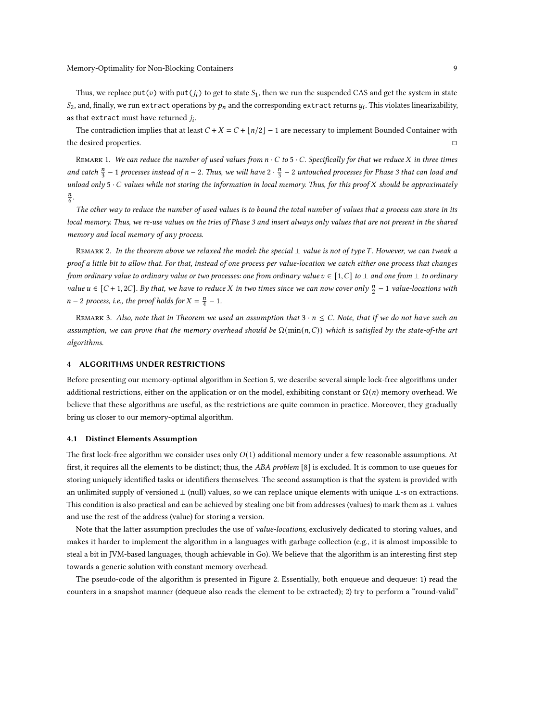Thus, we replace put( $v$ ) with put( $j_i$ ) to get to state  $S_1$ , then we run the suspended CAS and get the system in state  $S_2$ , and, finally, we run extract operations by  $p_n$  and the corresponding extract returns  $y_i$ . This violates linearizability, as that extract must have returned  $j_i$ .

The contradiction implies that at least  $C + X = C + \lfloor n/2 \rfloor - 1$  are necessary to implement Bounded Container with the desired properties. □

REMARK 1. We can reduce the number of used values from  $n \cdot C$  to  $5 \cdot C$ . Specifically for that we reduce X in three times and catch  $\frac{n}{3}$  – 1 processes instead of n – 2. Thus, we will have 2  $\cdot$   $\frac{n}{3}$  – 2 untouched processes for Phase 3 that can load and unload only  $5 \cdot C$  values while not storing the information in local memory. Thus, for this proof  $X$  should be approximately  $\frac{n}{6}$ .

The other way to reduce the number of used values is to bound the total number of values that a process can store in its local memory. Thus, we re-use values on the tries of Phase 3 and insert always only values that are not present in the shared memory and local memory of any process.

REMARK 2. In the theorem above we relaxed the model: the special ⊥ value is not of type T. However, we can tweak a proof a little bit to allow that. For that, instead of one process per value-location we catch either one process that changes from ordinary value to ordinary value or two processes: one from ordinary value  $v \in [1, C]$  to  $\bot$  and one from  $\bot$  to ordinary value  $u \in [C + 1, 2C]$ . By that, we have to reduce X in two times since we can now cover only  $\frac{n}{2} - 1$  value-locations with  $n-2$  process, i.e., the proof holds for  $X = \frac{n}{4} - 1$ .

REMARK 3. Also, note that in Theorem we used an assumption that  $3 \cdot n \leq C$ . Note, that if we do not have such an assumption, we can prove that the memory overhead should be  $\Omega(\min(n,C))$  which is satisfied by the state-of-the art algorithms.

# <span id="page-8-0"></span>4 ALGORITHMS UNDER RESTRICTIONS

Before presenting our memory-optimal algorithm in Section [5,](#page-11-0) we describe several simple lock-free algorithms under additional restrictions, either on the application or on the model, exhibiting constant or  $\Omega(n)$  memory overhead. We believe that these algorithms are useful, as the restrictions are quite common in practice. Moreover, they gradually bring us closer to our memory-optimal algorithm.

### <span id="page-8-1"></span>4.1 Distinct Elements Assumption

The first lock-free algorithm we consider uses only  $O(1)$  additional memory under a few reasonable assumptions. At first, it requires all the elements to be distinct; thus, the ABA problem [\[8\]](#page-15-3) is excluded. It is common to use queues for storing uniquely identified tasks or identifiers themselves. The second assumption is that the system is provided with an unlimited supply of versioned ⊥ (null) values, so we can replace unique elements with unique ⊥-s on extractions. This condition is also practical and can be achieved by stealing one bit from addresses (values) to mark them as ⊥ values and use the rest of the address (value) for storing a version.

Note that the latter assumption precludes the use of value-locations, exclusively dedicated to storing values, and makes it harder to implement the algorithm in a languages with garbage collection (e.g., it is almost impossible to steal a bit in JVM-based languages, though achievable in Go). We believe that the algorithm is an interesting first step towards a generic solution with constant memory overhead.

The pseudo-code of the algorithm is presented in Figure [2.](#page-9-0) Essentially, both enqueue and dequeue: 1) read the counters in a snapshot manner (dequeue also reads the element to be extracted); 2) try to perform a "round-valid"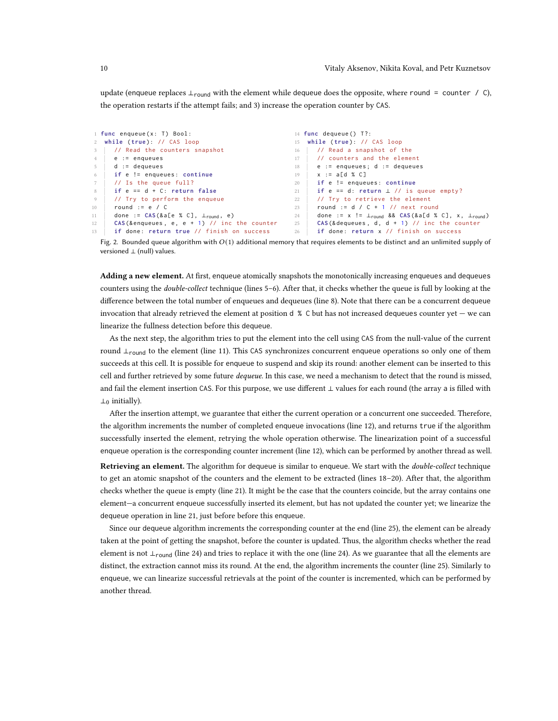update (enqueue replaces  $\perp_{\text{round}}$  with the element while dequeue does the opposite, where round = counter / C), the operation restarts if the attempt fails; and 3) increase the operation counter by CAS.

<span id="page-9-6"></span><span id="page-9-2"></span><span id="page-9-1"></span><span id="page-9-0"></span>

| 1 func enqueue(x: T) Bool:                     | 14 func dequeue () $T$ ?:                                                                  |
|------------------------------------------------|--------------------------------------------------------------------------------------------|
| 2 while (true): // CAS loop                    | 15 while (true): // CAS loop                                                               |
| // Read the counters snapshot                  | // Read a snapshot of the                                                                  |
| $3^{\circ}$                                    | 16                                                                                         |
| 4                                              | // counters and the element                                                                |
| e := enqueues                                  | 17                                                                                         |
| $d := dequeues$                                | $e :=$ enqueues; $d :=$ dequeues                                                           |
| $5 -$                                          | 18                                                                                         |
| if e != enqueues: continue                     | $x := a[d % C]$                                                                            |
| 6                                              | 19                                                                                         |
| // Is the queue full?                          | if e != enqueues: continue                                                                 |
| 7                                              | 20                                                                                         |
| if $e == d + C$ : return false                 | if e == d: return $\perp$ // is queue empty?                                               |
| 8                                              | 21                                                                                         |
| // Try to perform the enqueue                  | // Try to retrieve the element                                                             |
| 9                                              | 22                                                                                         |
| round $:= e / C$                               | round := $d / C + 1$ // next round                                                         |
| 10                                             | 23                                                                                         |
| done := $CAS(&a[e % C], \bot_{round}, e)$      | done := $x$ != $\perp$ <sub>round</sub> && CAS(&a[d % C], $x$ , $\perp$ <sub>round</sub> ) |
| 11                                             | 24                                                                                         |
| $CAS(8$ enqueues, e, e + 1) // inc the counter | $CAS$ (& dequeues, d, d + 1) // inc the counter                                            |
| 12                                             | 25                                                                                         |
| if done: return true // finish on success      | if done: return x // finish on success                                                     |
| 13                                             | 26                                                                                         |

<span id="page-9-10"></span><span id="page-9-9"></span><span id="page-9-8"></span><span id="page-9-7"></span><span id="page-9-5"></span><span id="page-9-4"></span><span id="page-9-3"></span>Fig. 2. Bounded queue algorithm with  $O(1)$  additional memory that requires elements to be distinct and an unlimited supply of versioned ⊥ (null) values.

Adding a new element. At first, enqueue atomically snapshots the monotonically increasing enqueues and dequeues counters using the double-collect technique (lines [5](#page-9-1)[–6\)](#page-9-2). After that, it checks whether the queue is full by looking at the difference between the total number of enqueues and dequeues (line [8\)](#page-9-3). Note that there can be a concurrent dequeue invocation that already retrieved the element at position d % C but has not increased dequeues counter yet — we can linearize the fullness detection before this dequeue.

As the next step, the algorithm tries to put the element into the cell using CAS from the null-value of the current round  $\perp$ <sub>round</sub> to the element (line [11\)](#page-9-4). This CAS synchronizes concurrent enqueue operations so only one of them succeeds at this cell. It is possible for enqueue to suspend and skip its round: another element can be inserted to this cell and further retrieved by some future *dequeue*. In this case, we need a mechanism to detect that the round is missed, and fail the element insertion CAS. For this purpose, we use different ⊥ values for each round (the array a is filled with  $\perp_0$  initially).

After the insertion attempt, we guarantee that either the current operation or a concurrent one succeeded. Therefore, the algorithm increments the number of completed enqueue invocations (line [12\)](#page-9-5), and returns true if the algorithm successfully inserted the element, retrying the whole operation otherwise. The linearization point of a successful enqueue operation is the corresponding counter increment (line [12\)](#page-9-5), which can be performed by another thread as well.

Retrieving an element. The algorithm for dequeue is similar to enqueue. We start with the *double-collect* technique to get an atomic snapshot of the counters and the element to be extracted (lines [18](#page-9-6)[–20\)](#page-9-7). After that, the algorithm checks whether the queue is empty (line [21\)](#page-9-8). It might be the case that the counters coincide, but the array contains one element—a concurrent enqueue successfully inserted its element, but has not updated the counter yet; we linearize the dequeue operation in line [21,](#page-9-8) just before before this enqueue.

Since our dequeue algorithm increments the corresponding counter at the end (line [25\)](#page-9-9), the element can be already taken at the point of getting the snapshot, before the counter is updated. Thus, the algorithm checks whether the read element is not ⊥<sub>round</sub> (line [24\)](#page-9-10) and tries to replace it with the one (line 24). As we guarantee that all the elements are distinct, the extraction cannot miss its round. At the end, the algorithm increments the counter (line [25\)](#page-9-9). Similarly to enqueue, we can linearize successful retrievals at the point of the counter is incremented, which can be performed by another thread.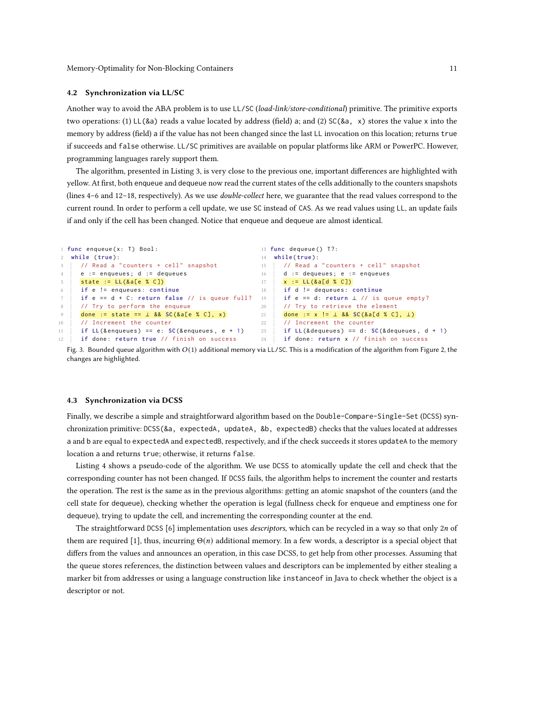#### 4.2 Synchronization via LL/SC

Another way to avoid the ABA problem is to use LL/SC (load-link/store-conditional) primitive. The primitive exports two operations: (1) LL(&a) reads a value located by address (field) a; and (2) SC(&a, x) stores the value x into the memory by address (field) a if the value has not been changed since the last LL invocation on this location; returns true if succeeds and false otherwise. LL/SC primitives are available on popular platforms like ARM or PowerPC. However, programming languages rarely support them.

The algorithm, presented in Listing [3,](#page-10-0) is very close to the previous one, important differences are highlighted with yellow. At first, both enqueue and dequeue now read the current states of the cells additionally to the counters snapshots (lines [4](#page-10-1)-6 and [12](#page-11-1)-18, respectively). As we use *double-collect* here, we guarantee that the read values correspond to the current round. In order to perform a cell update, we use SC instead of CAS. As we read values using LL, an update fails if and only if the cell has been changed. Notice that enqueue and dequeue are almost identical.

```
1 func enqueue(x: T) Bool:
2 while ( true ):
3 // Read a "counters + cell" snapshot
4 e := enqueues ; d := dequeues
5 state := LL(&a[e % C])
6 if e != enqueues : continue
7 | if e == d + C: return false // is queue full? 19
8 // Try to perform the enqueue
    done := state == ⊥ && SC(&a[e % C], x)
10 // Increment the counter
11 if LL (& enqueues) == e: SC (& enqueues, e + 1)
12 if done: return true // finish on success
                                                   13 func dequeue () T?:
                                                   14 while ( true ):
                                                   15 // Read a "counters + cell" snapshot
                                                   16 d := dequeues: e := enqueues
                                                   17 \times := LL (& a [ d % C ])
                                                   18 if d != dequeues : continue
                                                        if e == d: return \perp // is queue empty?
                                                   20 // Try to retrieve the element
                                                   21 done := x != ⊥ && SC(&a[d % C], ⊥)
                                                   22 // Increment the counter
                                                   23 if LL (& dequeues) == d: SC (& dequeues, d + 1)
                                                   24 if done: return x // finish on success
```
<span id="page-10-3"></span>Fig. 3. Bounded queue algorithm with  $O(1)$  additional memory via LL/SC. This is a modification of the algorithm from Figure [2,](#page-9-0) the changes are highlighted.

#### 4.3 Synchronization via DCSS

Finally, we describe a simple and straightforward algorithm based on the Double-Compare-Single-Set (DCSS) synchronization primitive: DCSS(&a, expectedA, updateA, &b, expectedB) checks that the values located at addresses a and b are equal to expectedA and expectedB, respectively, and if the check succeeds it stores updateA to the memory location a and returns true; otherwise, it returns false.

Listing [4](#page-11-2) shows a pseudo-code of the algorithm. We use DCSS to atomically update the cell and check that the corresponding counter has not been changed. If DCSS fails, the algorithm helps to increment the counter and restarts the operation. The rest is the same as in the previous algorithms: getting an atomic snapshot of the counters (and the cell state for dequeue), checking whether the operation is legal (fullness check for enqueue and emptiness one for dequeue), trying to update the cell, and incrementing the corresponding counter at the end.

The straightforward DCSS  $[6]$  implementation uses *descriptors*, which can be recycled in a way so that only 2n of them are required [\[1\]](#page-15-5), thus, incurring  $\Theta(n)$  additional memory. In a few words, a descriptor is a special object that differs from the values and announces an operation, in this case DCSS, to get help from other processes. Assuming that the queue stores references, the distinction between values and descriptors can be implemented by either stealing a marker bit from addresses or using a language construction like instanceof in Java to check whether the object is a descriptor or not.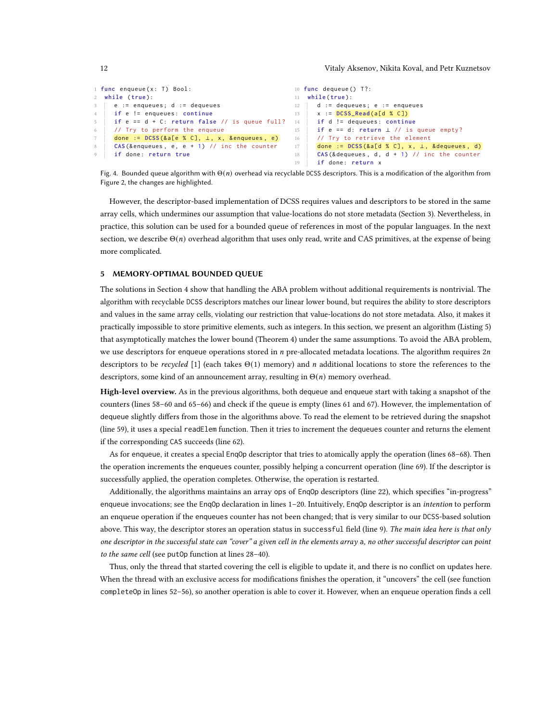```
1 func enqueue (x: T) Bool:
2 while ( true ):
     e := enqueues; d := dequeues
4 if e != enqueues : continue
5 | if e == d + C: return false // is queue full?
6 // Try to perform the enqueue
7 done := DCSS(&a[e % C], ⊥, x, & enqueues, e)
8 CAS (& enqueues, e, e + 1) // inc the counter
    9 if done : return true
                                                   10 func dequeue () T?:
                                                   11 while ( true ):
                                                   12 d := dequeues; e := enqueues
                                                   13 x := DCSS_Read(a[d % C])
                                                  14 if d != dequeues : continue
                                                   15 if e == d: return ⊥ // is queue empty?
                                                   16 // Try to retrieve the element
                                                   17 done := DCSS(&a[d % C], x, ⊥, &dequeues, d)
                                                   18 CAS (& dequeues, d, d + 1) // inc the counter
                                                   19 if done: return x
```
Fig. 4. Bounded queue algorithm with  $\Theta(n)$  overhead via recyclable DCSS descriptors. This is a modification of the algorithm from Figure [2,](#page-9-0) the changes are highlighted.

However, the descriptor-based implementation of DCSS requires values and descriptors to be stored in the same array cells, which undermines our assumption that value-locations do not store metadata (Section [3\)](#page-3-0). Nevertheless, in practice, this solution can be used for a bounded queue of references in most of the popular languages. In the next section, we describe  $\Theta(n)$  overhead algorithm that uses only read, write and CAS primitives, at the expense of being more complicated.

### <span id="page-11-0"></span>5 MEMORY-OPTIMAL BOUNDED QUEUE

The solutions in Section [4](#page-8-0) show that handling the ABA problem without additional requirements is nontrivial. The algorithm with recyclable DCSS descriptors matches our linear lower bound, but requires the ability to store descriptors and values in the same array cells, violating our restriction that value-locations do not store metadata. Also, it makes it practically impossible to store primitive elements, such as integers. In this section, we present an algorithm (Listing [5\)](#page-13-0) that asymptotically matches the lower bound (Theorem [4\)](#page-5-0) under the same assumptions. To avoid the ABA problem, we use descriptors for enqueue operations stored in  $n$  pre-allocated metadata locations. The algorithm requires  $2n$ descriptors to be recycled [\[1\]](#page-15-5) (each takes  $\Theta(1)$  memory) and *n* additional locations to store the references to the descriptors, some kind of an announcement array, resulting in  $\Theta(n)$  memory overhead.

High-level overview. As in the previous algorithms, both dequeue and enqueue start with taking a snapshot of the counters (lines [58](#page-13-1)[–60](#page-13-2) and [65–](#page-13-3)[66\)](#page-13-4) and check if the queue is empty (lines [61](#page-13-5) and [67\)](#page-13-6). However, the implementation of dequeue slightly differs from those in the algorithms above. To read the element to be retrieved during the snapshot (line [59\)](#page-13-7), it uses a special readElem function. Then it tries to increment the dequeues counter and returns the element if the corresponding CAS succeeds (line [62\)](#page-13-8).

As for enqueue, it creates a special EnqOp descriptor that tries to atomically apply the operation (lines [68–68\)](#page-13-9). Then the operation increments the enqueues counter, possibly helping a concurrent operation (line [69\)](#page-13-10). If the descriptor is successfully applied, the operation completes. Otherwise, the operation is restarted.

Additionally, the algorithms maintains an array ops of EnqOp descriptors (line [22\)](#page-13-11), which specifies "in-progress" enqueue invocations; see the Enq0p declaration in lines 1-[20.](#page-13-13) Intuitively, Enq0p descriptor is an *intention* to perform an enqueue operation if the enqueues counter has not been changed; that is very similar to our DCSS-based solution above. This way, the descriptor stores an operation status in successful field (line [9\)](#page-13-14). The main idea here is that only one descriptor in the successful state can "cover" a given cell in the elements array a, no other successful descriptor can point to the same cell (see putOp function at lines [28](#page-13-15)[–40\)](#page-13-16).

Thus, only the thread that started covering the cell is eligible to update it, and there is no conflict on updates here. When the thread with an exclusive access for modifications finishes the operation, it "uncovers" the cell (see function completeOp in lines [52](#page-13-17)[–56\)](#page-13-18), so another operation is able to cover it. However, when an enqueue operation finds a cell

<span id="page-11-1"></span>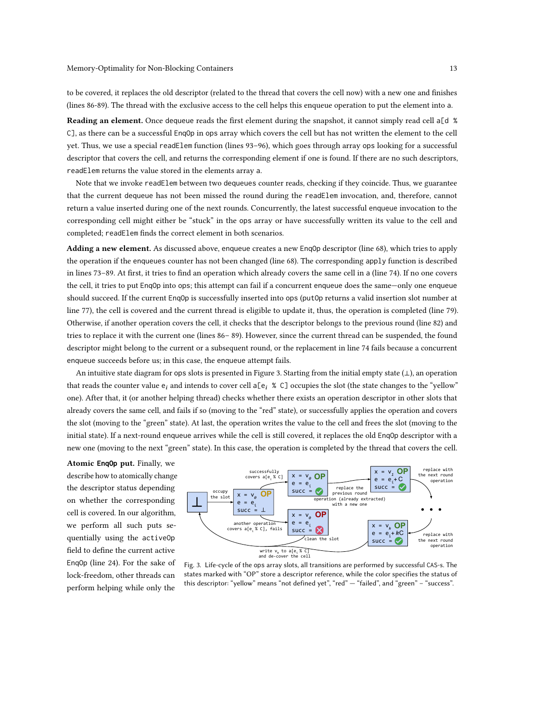to be covered, it replaces the old descriptor (related to the thread that covers the cell now) with a new one and finishes (lines [86-](#page-13-19)[89\)](#page-13-20). The thread with the exclusive access to the cell helps this enqueue operation to put the element into a.

Reading an element. Once dequeue reads the first element during the snapshot, it cannot simply read cell a[d % C], as there can be a successful EnqOp in ops array which covers the cell but has not written the element to the cell yet. Thus, we use a special readElem function (lines [93](#page-13-21)[–96\)](#page-13-22), which goes through array ops looking for a successful descriptor that covers the cell, and returns the corresponding element if one is found. If there are no such descriptors, readElem returns the value stored in the elements array a.

Note that we invoke readElem between two dequeues counter reads, checking if they coincide. Thus, we guarantee that the current dequeue has not been missed the round during the readElem invocation, and, therefore, cannot return a value inserted during one of the next rounds. Concurrently, the latest successful enqueue invocation to the corresponding cell might either be "stuck" in the ops array or have successfully written its value to the cell and completed; readElem finds the correct element in both scenarios.

Adding a new element. As discussed above, enqueue creates a new Enq0p descriptor (line [68\)](#page-13-9), which tries to apply the operation if the enqueues counter has not been changed (line [68\)](#page-13-9). The corresponding apply function is described in lines [73](#page-13-23)[–89.](#page-13-20) At first, it tries to find an operation which already covers the same cell in a (line [74\)](#page-13-24). If no one covers the cell, it tries to put EnqOp into ops; this attempt can fail if a concurrent enqueue does the same—only one enqueue should succeed. If the current EnqOp is successfully inserted into ops (putOp returns a valid insertion slot number at line [77\)](#page-13-25), the cell is covered and the current thread is eligible to update it, thus, the operation is completed (line [79\)](#page-13-26). Otherwise, if another operation covers the cell, it checks that the descriptor belongs to the previous round (line [82\)](#page-13-27) and tries to replace it with the current one (lines [86–](#page-13-19) [89\)](#page-13-20). However, since the current thread can be suspended, the found descriptor might belong to the current or a subsequent round, or the replacement in line [74](#page-13-24) fails because a concurrent enqueue succeeds before us; in this case, the enqueue attempt fails.

An intuitive state diagram for ops slots is presented in Figure [3.](#page-12-0) Starting from the initial empty state (⊥), an operation that reads the counter value  $e_i$  and intends to cover cell a[ $e_i$  % C] occupies the slot (the state changes to the "yellow" one). After that, it (or another helping thread) checks whether there exists an operation descriptor in other slots that already covers the same cell, and fails if so (moving to the "red" state), or successfully applies the operation and covers the slot (moving to the "green" state). At last, the operation writes the value to the cell and frees the slot (moving to the initial state). If a next-round enqueue arrives while the cell is still covered, it replaces the old EnqOp descriptor with a new one (moving to the next "green" state). In this case, the operation is completed by the thread that covers the cell.

Atomic **EnqOp** put. Finally, we describe how to atomically change the descriptor status depending on whether the corresponding cell is covered. In our algorithm, we perform all such puts sequentially using the activeOp field to define the current active EnqOp (line [24\)](#page-13-28). For the sake of lock-freedom, other threads can perform helping while only the

<span id="page-12-0"></span>

Fig. 3. Life-cycle of the ops array slots, all transitions are performed by successful CAS-s. The states marked with "OP" store a descriptor reference, while the color specifies the status of this descriptor: "yellow" means "not defined yet", "red" — "failed", and "green" – "success".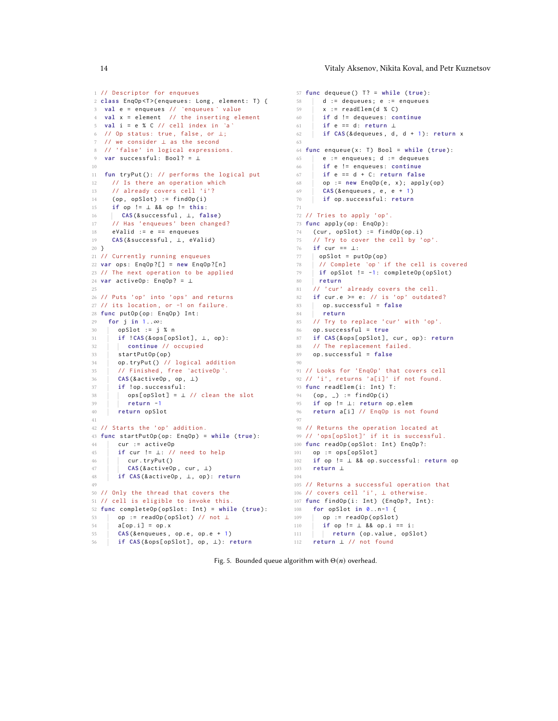```
1 // Descriptor for enqueues
2 class EnqOp<T>(enqueues: Long, element: T) {
3 val e = enqueues // `enqueues ` value
4 val x = element // the inserting element
5 val i = e % C // cell index in `a`
6 // Op status: true, false, or \perp;
  7 // we consider ⊥ as the second
8 // 'false' in logical expressions.
   var successful: Bool? = ⊥
10
11 fun tryPut (): // performs the logical put
12 // Is there an operation which
13 // already covers cell 'i'?
14 (op, opSlot) := findOp(i)
15 if op != ⊥ && op != this :
16 CAS (& successful , ⊥, false )
17 // Has 'enqueues' been changed?
18 eValid := e == enqueues
19 CAS (& successful, ⊥, eValid)
20 }
21 // Currently running enqueues
22 var ops : EnqOp ?[] = new EnqOp ?[ n ]
23 // The next operation to be applied
24 var activeOp : EnqOp ? = ⊥
25
26 // Puts 'op' into 'ops' and returns
27 // its location , or -1 on failure .
28 func putOp(op: EnqOp) Int:
29 for j in 1..∞:
30 opSlot := j % n
31 if ! CAS (& ops [ opSlot ] , ⊥, op ):
32 continue // occupied
33 startPutOp(op)
34 op . tryPut () // logical addition
35 // Finished , free `activeOp `.
36 CAS (& activeOp , op , ⊥)
37 if ! op . successful :
38 | ops[opSlot] = \perp // clean the slot
39 return -1
40 return opSlot
41
42 // Starts the 'op' addition .
43 func startPutOp ( op : EnqOp ) = while ( true ):
44 cur := activeOp
45 if cur != ⊥: // need to help
46 | cur.tryPut()
47 CAS (& activeOp , cur , ⊥)
48 if CAS (& activeOp , ⊥, op ): return
49
50 // Only the thread that covers the
51 // cell is eligible to invoke this .
52 func completeOp ( opSlot : Int ) = while ( true ):
53 op := readOp ( opSlot ) // not ⊥
54 a[op.i] = op.x
55 CAS (& enqueues, op.e, op.e + 1)
56 if CAS (& ops [ opSlot ] , op , ⊥): return
```

```
57 func dequeue () T ? = while ( true ):
   58 d := dequeues; e := enqueues
  59 \quad x := \text{readElement}(d % C)60 if d != dequeues : continue
    61 if e == d : return ⊥
    62 if CAS (& dequeues , d , d + 1): return x
  63
 64 func enqueue ( x : T ) Bool = while ( true ):
   65 e := enqueues; d := dequeues
  66 if e != enqueues : continue
 67 if e == d + C : return false
    68 op := new EnqOp (e , x ); apply ( op )
    69 CAS (& enqueues , e , e + 1)
  70 if op . successful : return
  71
  72 // Tries to apply 'op'.
73 func apply ( op : EnqOp ):
  74 (cur, opSlot) := findOp(op.i)<br>75 // Try to cover the cell by '
       // Try to cover the cell by 'op'.
  76 if cur == ⊥:
  77 opSlot = putOp(op)
 78 // Complete `op` if the cell is covered<br>
79 if opSlot != -1: completeOp(opSlot)
       if opSlot != -1: completeOp(opSlot)
  80 return
    81 // 'cur' already covers the cell.
    82 if cur.e >= e: // is 'op' outdated?
 83 op.successful = false<br>84 return
         84 return
  85 // Try to replace 'cur' with 'op'.
  86 op . successful = true
87 if CAS (& ops [ opSlot ] , cur , op ): return
  88 // The replacement failed.
  89 op . successful = false
  90
  91 // Looks for 'EnqOp' that covers cell
  92 // 'i', returns 'a[i]' if not found.
  93 func readElem(i: Int) T:
   94 (op, _) := findOp(i)
   95 if op != ⊥: return op . elem
   96 return a[i] // EnqOp is not found
   07
   98 // Returns the operation located at
  99 // 'ops[opSlot]' if it is successful.
  100 func readOp(opSlot: Int) EnqOp?:
  101 op := ops [ opSlot ]
  102 if op != ⊥ && op . successful : return op
 103 return ⊥
  104
  105 // Returns a successful operation that
 106 // covers cell 'i', ⊥ otherwise .
   107 func findOp(i: Int) (EnqOp?, Int):
   108 for opSlot in 0.. n -1 {
109 op := readOp(opSlot)
 110 if op != ⊥ && op.i == i:
   111 ceturn (op. value, opSlot)
```

```
112 return ⊥ // not found
```
<span id="page-13-45"></span><span id="page-13-43"></span><span id="page-13-41"></span><span id="page-13-38"></span><span id="page-13-37"></span><span id="page-13-36"></span><span id="page-13-32"></span><span id="page-13-31"></span><span id="page-13-30"></span><span id="page-13-18"></span><span id="page-13-17"></span><span id="page-13-16"></span>Fig. 5. Bounded queue algorithm with  $\Theta(n)$  overhead.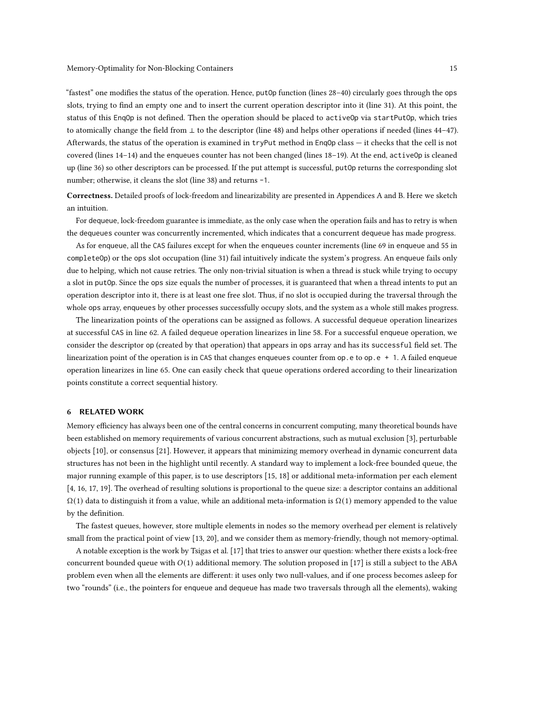"fastest" one modifies the status of the operation. Hence, putOp function (lines [28](#page-13-15)[–40\)](#page-13-16) circularly goes through the ops slots, trying to find an empty one and to insert the current operation descriptor into it (line [31\)](#page-13-29). At this point, the status of this EnqOp is not defined. Then the operation should be placed to activeOp via startPutOp, which tries to atomically change the field from ⊥ to the descriptor (line [48\)](#page-13-30) and helps other operations if needed (lines [44–](#page-13-31)[47\)](#page-13-32). Afterwards, the status of the operation is examined in tryPut method in EnqOp class — it checks that the cell is not covered (lines [14–14\)](#page-13-33) and the enqueues counter has not been changed (lines [18](#page-13-34)[–19\)](#page-13-35). At the end, activeOp is cleaned up (line [36\)](#page-13-36) so other descriptors can be processed. If the put attempt is successful, putOp returns the corresponding slot number; otherwise, it cleans the slot (line [38\)](#page-13-37) and returns -1.

Correctness. Detailed proofs of lock-freedom and linearizability are presented in Appendices [A](#page-16-6) and [B.](#page-17-0) Here we sketch an intuition.

For dequeue, lock-freedom guarantee is immediate, as the only case when the operation fails and has to retry is when the dequeues counter was concurrently incremented, which indicates that a concurrent dequeue has made progress.

As for enqueue, all the CAS failures except for when the enqueues counter increments (line [69](#page-13-10) in enqueue and [55](#page-13-38) in completeOp) or the ops slot occupation (line [31\)](#page-13-29) fail intuitively indicate the system's progress. An enqueue fails only due to helping, which not cause retries. The only non-trivial situation is when a thread is stuck while trying to occupy a slot in putOp. Since the ops size equals the number of processes, it is guaranteed that when a thread intents to put an operation descriptor into it, there is at least one free slot. Thus, if no slot is occupied during the traversal through the whole ops array, enqueues by other processes successfully occupy slots, and the system as a whole still makes progress.

The linearization points of the operations can be assigned as follows. A successful dequeue operation linearizes at successful CAS in line [62.](#page-13-8) A failed dequeue operation linearizes in line [58.](#page-13-1) For a successful enqueue operation, we consider the descriptor op (created by that operation) that appears in ops array and has its successful field set. The linearization point of the operation is in CAS that changes enqueues counter from  $op.e$  to  $op.e$  + 1. A failed enqueue operation linearizes in line [65.](#page-13-3) One can easily check that queue operations ordered according to their linearization points constitute a correct sequential history.

# 6 RELATED WORK

Memory efficiency has always been one of the central concerns in concurrent computing, many theoretical bounds have been established on memory requirements of various concurrent abstractions, such as mutual exclusion [\[3\]](#page-15-6), perturbable objects [\[10\]](#page-16-7), or consensus [\[21\]](#page-16-8). However, it appears that minimizing memory overhead in dynamic concurrent data structures has not been in the highlight until recently. A standard way to implement a lock-free bounded queue, the major running example of this paper, is to use descriptors [\[15,](#page-16-9) [18\]](#page-16-10) or additional meta-information per each element [\[4,](#page-15-7) [16,](#page-16-11) [17,](#page-16-12) [19\]](#page-16-13). The overhead of resulting solutions is proportional to the queue size: a descriptor contains an additional  $Ω(1)$  data to distinguish it from a value, while an additional meta-information is  $Ω(1)$  memory appended to the value by the definition.

The fastest queues, however, store multiple elements in nodes so the memory overhead per element is relatively small from the practical point of view [\[13,](#page-16-2) [20\]](#page-16-3), and we consider them as memory-friendly, though not memory-optimal.

A notable exception is the work by Tsigas et al. [\[17\]](#page-16-12) that tries to answer our question: whether there exists a lock-free concurrent bounded queue with  $O(1)$  additional memory. The solution proposed in [\[17\]](#page-16-12) is still a subject to the ABA problem even when all the elements are different: it uses only two null-values, and if one process becomes asleep for two "rounds" (i.e., the pointers for enqueue and dequeue has made two traversals through all the elements), waking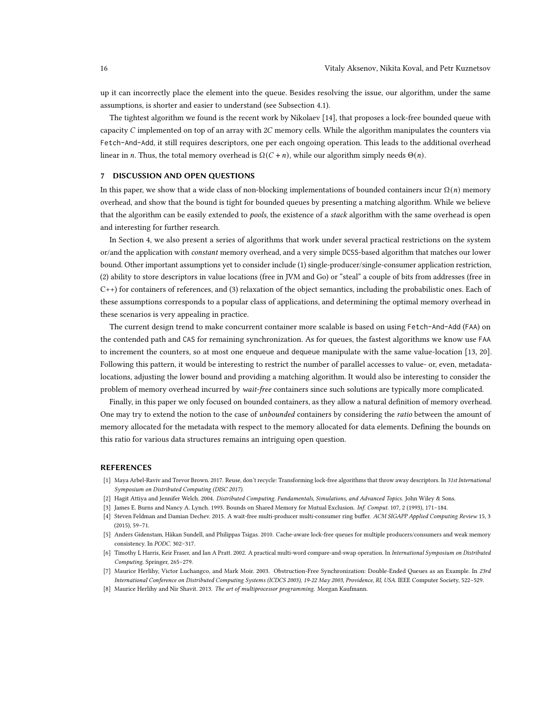up it can incorrectly place the element into the queue. Besides resolving the issue, our algorithm, under the same assumptions, is shorter and easier to understand (see Subsection [4.1\)](#page-8-1).

The tightest algorithm we found is the recent work by Nikolaev [\[14\]](#page-16-0), that proposes a lock-free bounded queue with capacity  $C$  implemented on top of an array with  $2C$  memory cells. While the algorithm manipulates the counters via Fetch-And-Add, it still requires descriptors, one per each ongoing operation. This leads to the additional overhead linear in *n*. Thus, the total memory overhead is  $\Omega(C + n)$ , while our algorithm simply needs  $\Theta(n)$ .

# 7 DISCUSSION AND OPEN QUESTIONS

In this paper, we show that a wide class of non-blocking implementations of bounded containers incur  $\Omega(n)$  memory overhead, and show that the bound is tight for bounded queues by presenting a matching algorithm. While we believe that the algorithm can be easily extended to *pools*, the existence of a *stack* algorithm with the same overhead is open and interesting for further research.

In Section [4,](#page-8-0) we also present a series of algorithms that work under several practical restrictions on the system or/and the application with constant memory overhead, and a very simple DCSS-based algorithm that matches our lower bound. Other important assumptions yet to consider include (1) single-producer/single-consumer application restriction, (2) ability to store descriptors in value locations (free in JVM and Go) or "steal" a couple of bits from addresses (free in C++) for containers of references, and (3) relaxation of the object semantics, including the probabilistic ones. Each of these assumptions corresponds to a popular class of applications, and determining the optimal memory overhead in these scenarios is very appealing in practice.

The current design trend to make concurrent container more scalable is based on using Fetch-And-Add (FAA) on the contended path and CAS for remaining synchronization. As for queues, the fastest algorithms we know use FAA to increment the counters, so at most one enqueue and dequeue manipulate with the same value-location [\[13,](#page-16-2) [20\]](#page-16-3). Following this pattern, it would be interesting to restrict the number of parallel accesses to value- or, even, metadatalocations, adjusting the lower bound and providing a matching algorithm. It would also be interesting to consider the problem of memory overhead incurred by wait-free containers since such solutions are typically more complicated.

Finally, in this paper we only focused on bounded containers, as they allow a natural definition of memory overhead. One may try to extend the notion to the case of unbounded containers by considering the ratio between the amount of memory allocated for the metadata with respect to the memory allocated for data elements. Defining the bounds on this ratio for various data structures remains an intriguing open question.

# REFERENCES

- <span id="page-15-5"></span>[1] Maya Arbel-Raviv and Trevor Brown. 2017. Reuse, don't recycle: Transforming lock-free algorithms that throw away descriptors. In 31st International Symposium on Distributed Computing (DISC 2017).
- <span id="page-15-2"></span>[2] Hagit Attiya and Jennifer Welch. 2004. Distributed Computing. Fundamentals, Simulations, and Advanced Topics. John Wiley & Sons.
- <span id="page-15-6"></span>[3] James E. Burns and Nancy A. Lynch. 1993. Bounds on Shared Memory for Mutual Exclusion. Inf. Comput. 107, 2 (1993), 171–184.
- <span id="page-15-7"></span>[4] Steven Feldman and Damian Dechev. 2015. A wait-free multi-producer multi-consumer ring buffer. ACM SIGAPP Applied Computing Review 15, 3 (2015), 59–71.
- <span id="page-15-0"></span>[5] Anders Gidenstam, Håkan Sundell, and Philippas Tsigas. 2010. Cache-aware lock-free queues for multiple producers/consumers and weak memory consistency. In PODC. 302–317.
- <span id="page-15-4"></span>[6] Timothy L Harris, Keir Fraser, and Ian A Pratt. 2002. A practical multi-word compare-and-swap operation. In International Symposium on Distributed Computing. Springer, 265–279.
- <span id="page-15-1"></span>[7] Maurice Herlihy, Victor Luchangco, and Mark Moir. 2003. Obstruction-Free Synchronization: Double-Ended Queues as an Example. In 23rd International Conference on Distributed Computing Systems (ICDCS 2003), 19-22 May 2003, Providence, RI, USA. IEEE Computer Society, 522–529.
- <span id="page-15-3"></span>[8] Maurice Herlihy and Nir Shavit. 2013. The art of multiprocessor programming. Morgan Kaufmann.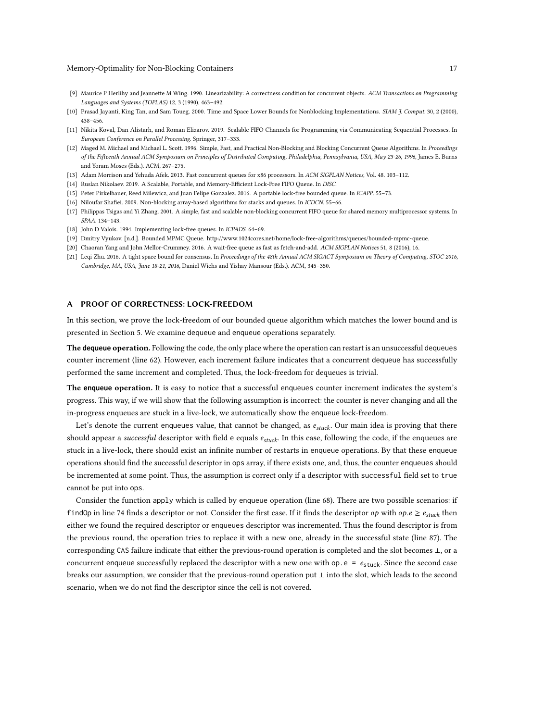#### Memory-Optimality for Non-Blocking Containers 17

- <span id="page-16-5"></span>[9] Maurice P Herlihy and Jeannette M Wing. 1990. Linearizability: A correctness condition for concurrent objects. ACM Transactions on Programming Languages and Systems (TOPLAS) 12, 3 (1990), 463–492.
- <span id="page-16-7"></span>[10] Prasad Jayanti, King Tan, and Sam Toueg. 2000. Time and Space Lower Bounds for Nonblocking Implementations. SIAM J. Comput. 30, 2 (2000), 438–456.
- <span id="page-16-4"></span>[11] Nikita Koval, Dan Alistarh, and Roman Elizarov. 2019. Scalable FIFO Channels for Programming via Communicating Sequential Processes. In European Conference on Parallel Processing. Springer, 317–333.
- <span id="page-16-1"></span>[12] Maged M. Michael and Michael L. Scott. 1996. Simple, Fast, and Practical Non-Blocking and Blocking Concurrent Queue Algorithms. In Proceedings of the Fifteenth Annual ACM Symposium on Principles of Distributed Computing, Philadelphia, Pennsylvania, USA, May 23-26, 1996, James E. Burns and Yoram Moses (Eds.). ACM, 267–275.
- <span id="page-16-2"></span>[13] Adam Morrison and Yehuda Afek. 2013. Fast concurrent queues for x86 processors. In ACM SIGPLAN Notices, Vol. 48. 103–112.
- <span id="page-16-0"></span>[14] Ruslan Nikolaev. 2019. A Scalable, Portable, and Memory-Efficient Lock-Free FIFO Queue. In DISC.
- <span id="page-16-9"></span>[15] Peter Pirkelbauer, Reed Milewicz, and Juan Felipe Gonzalez. 2016. A portable lock-free bounded queue. In ICAPP. 55–73.
- <span id="page-16-11"></span>[16] Niloufar Shafiei. 2009. Non-blocking array-based algorithms for stacks and queues. In ICDCN. 55–66.
- <span id="page-16-12"></span>[17] Philippas Tsigas and Yi Zhang. 2001. A simple, fast and scalable non-blocking concurrent FIFO queue for shared memory multiprocessor systems. In SPAA. 134–143.
- <span id="page-16-10"></span>[18] John D Valois. 1994. Implementing lock-free queues. In ICPADS. 64-69.
- <span id="page-16-13"></span>[19] Dmitry Vyukov. [n.d.]. Bounded MPMC Queue. [http://www.1024cores.net/home/lock-free-algorithms/queues/bounded-mpmc-queue.](http://www.1024cores.net/home/lock-free-algorithms/queues/bounded-mpmc-queue)
- <span id="page-16-3"></span>[20] Chaoran Yang and John Mellor-Crummey. 2016. A wait-free queue as fast as fetch-and-add. ACM SIGPLAN Notices 51, 8 (2016), 16.
- <span id="page-16-8"></span>[21] Leqi Zhu. 2016. A tight space bound for consensus. In Proceedings of the 48th Annual ACM SIGACT Symposium on Theory of Computing, STOC 2016, Cambridge, MA, USA, June 18-21, 2016, Daniel Wichs and Yishay Mansour (Eds.). ACM, 345–350.

# <span id="page-16-6"></span>A PROOF OF CORRECTNESS: LOCK-FREEDOM

In this section, we prove the lock-freedom of our bounded queue algorithm which matches the lower bound and is presented in Section [5.](#page-11-0) We examine dequeue and enqueue operations separately.

The **dequeue** operation. Following the code, the only place where the operation can restart is an unsuccessful dequeues counter increment (line [62\)](#page-13-8). However, each increment failure indicates that a concurrent dequeue has successfully performed the same increment and completed. Thus, the lock-freedom for dequeues is trivial.

The **enqueue** operation. It is easy to notice that a successful enqueues counter increment indicates the system's progress. This way, if we will show that the following assumption is incorrect: the counter is never changing and all the in-progress enqueues are stuck in a live-lock, we automatically show the enqueue lock-freedom.

Let's denote the current enqueues value, that cannot be changed, as  $e_{stuck}$ . Our main idea is proving that there should appear a successful descriptor with field e equals  $e_{stuck}$ . In this case, following the code, if the enqueues are stuck in a live-lock, there should exist an infinite number of restarts in enqueue operations. By that these enqueue operations should find the successful descriptor in ops array, if there exists one, and, thus, the counter enqueues should be incremented at some point. Thus, the assumption is correct only if a descriptor with successful field set to true cannot be put into ops.

Consider the function apply which is called by enqueue operation (line [68\)](#page-13-9). There are two possible scenarios: if findOp in line [74](#page-13-24) finds a descriptor or not. Consider the first case. If it finds the descriptor  $op$  with  $op.e \geq e_{stuck}$  then either we found the required descriptor or enqueues descriptor was incremented. Thus the found descriptor is from the previous round, the operation tries to replace it with a new one, already in the successful state (line [87\)](#page-13-39). The corresponding CAS failure indicate that either the previous-round operation is completed and the slot becomes ⊥, or a concurrent enqueue successfully replaced the descriptor with a new one with op.  $e = e_{\text{stuck}}$ . Since the second case breaks our assumption, we consider that the previous-round operation put ⊥ into the slot, which leads to the second scenario, when we do not find the descriptor since the cell is not covered.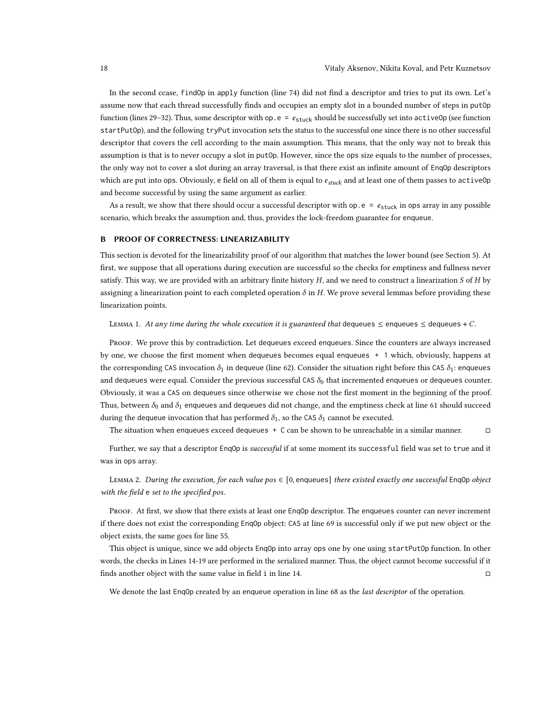In the second ccase, findOp in apply function (line [74\)](#page-13-24) did not find a descriptor and tries to put its own. Let's assume now that each thread successfully finds and occupies an empty slot in a bounded number of steps in putOp function (lines [29–](#page-13-40)[32\)](#page-13-41). Thus, some descriptor with  $op.e = e_{style}$  should be successfully set into activeOp (see function startPutOp), and the following tryPut invocation sets the status to the successful one since there is no other successful descriptor that covers the cell according to the main assumption. This means, that the only way not to break this assumption is that is to never occupy a slot in putOp. However, since the ops size equals to the number of processes, the only way not to cover a slot during an array traversal, is that there exist an infinite amount of EnqOp descriptors which are put into ops. Obviously, e field on all of them is equal to  $e_{stuck}$  and at least one of them passes to activeOp and become successful by using the same argument as earlier.

As a result, we show that there should occur a successful descriptor with op.  $e = e_{\text{stuck}}$  in ops array in any possible scenario, which breaks the assumption and, thus, provides the lock-freedom guarantee for enqueue.

# <span id="page-17-0"></span>B PROOF OF CORRECTNESS: LINEARIZABILITY

This section is devoted for the linearizability proof of our algorithm that matches the lower bound (see Section [5\)](#page-11-0). At first, we suppose that all operations during execution are successful so the checks for emptiness and fullness never satisfy. This way, we are provided with an arbitrary finite history  $H$ , and we need to construct a linearization  $S$  of  $H$  by assigning a linearization point to each completed operation  $\delta$  in H. We prove several lemmas before providing these linearization points.

LEMMA 1. At any time during the whole execution it is guaranteed that dequeues  $\leq$  enqueues  $\leq$  dequeues + C.

Proof. We prove this by contradiction. Let dequeues exceed enqueues. Since the counters are always increased by one, we choose the first moment when dequeues becomes equal enqueues + 1 which, obviously, happens at the corresponding CAS invocation  $\delta_1$  in dequeue (line [62\)](#page-13-8). Consider the situation right before this CAS  $\delta_1$ : enqueues and dequeues were equal. Consider the previous successful CAS  $\delta_0$  that incremented enqueues or dequeues counter. Obviously, it was a CAS on dequeues since otherwise we chose not the first moment in the beginning of the proof. Thus, between  $\delta_0$  and  $\delta_1$  enqueues and dequeues did not change, and the emptiness check at line [61](#page-13-5) should succeed during the dequeue invocation that has performed  $\delta_1$ , so the CAS  $\delta_1$  cannot be executed.

The situation when enqueues exceed dequeues  $+$  C can be shown to be unreachable in a similar manner.  $\Box$ 

Further, we say that a descriptor EnqOp is successful if at some moment its successful field was set to true and it was in ops array.

<span id="page-17-1"></span>LEMMA 2. During the execution, for each value  $pos \in [0,$  enqueues] there existed exactly one successful EnqOp object with the field  $e$  set to the specified pos.

PROOF. At first, we show that there exists at least one Enq0p descriptor. The enqueues counter can never increment if there does not exist the corresponding EnqOp object: CAS at line [69](#page-13-10) is successful only if we put new object or the object exists, the same goes for line [55.](#page-13-38)

This object is unique, since we add objects EnqOp into array ops one by one using startPutOp function. In other words, the checks in Lines [14-](#page-13-33)[19](#page-13-35) are performed in the serialized manner. Thus, the object cannot become successful if it finds another object with the same value in field i in line [14.](#page-13-33) □

<span id="page-17-2"></span>We denote the last EnqOp created by an enqueue operation in line [68](#page-13-9) as the last descriptor of the operation.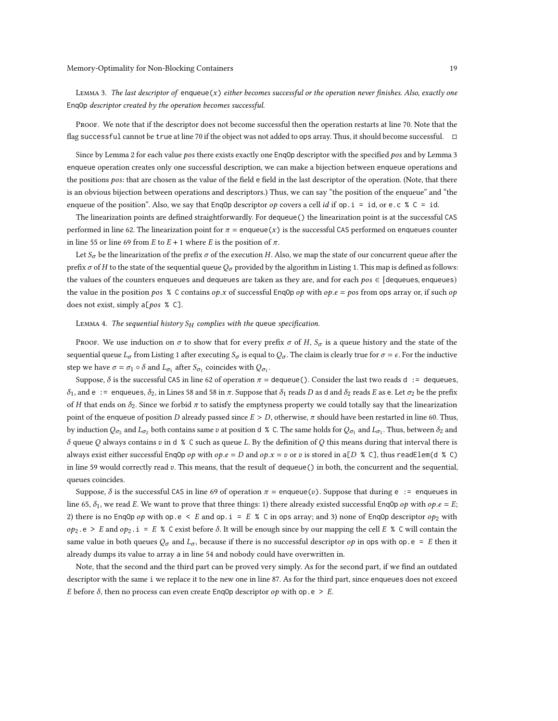LEMMA 3. The last descriptor of enqueue $(x)$  either becomes successful or the operation never finishes. Also, exactly one EnqOp descriptor created by the operation becomes successful.

PROOF. We note that if the descriptor does not become successful then the operation restarts at line [70.](#page-13-42) Note that the flag successful cannot be true at line [70](#page-13-42) if the object was not added to ops array. Thus, it should become successful.  $\Box$ 

Since by Lemma [2](#page-17-1) for each value pos there exists exactly one EnqOp descriptor with the specified pos and by Lemma [3](#page-17-2) enqueue operation creates only one successful description, we can make a bijection between enqueue operations and the positions pos: that are chosen as the value of the field e field in the last descriptor of the operation. (Note, that there is an obvious bijection between operations and descriptors.) Thus, we can say "the position of the enqueue" and "the enqueue of the position". Also, we say that EnqOp descriptor  $op$  covers a cell *id* if op. i = id, or e.c % C = id.

The linearization points are defined straightforwardly. For dequeue() the linearization point is at the successful CAS performed in line [62.](#page-13-8) The linearization point for  $\pi$  = enqueue(x) is the successful CAS performed on enqueues counter in line [55](#page-13-38) or line [69](#page-13-10) from  $E$  to  $E + 1$  where  $E$  is the position of  $\pi$ .

Let  $S_{\sigma}$  be the linearization of the prefix  $\sigma$  of the execution H. Also, we map the state of our concurrent queue after the prefix  $\sigma$  of H to the state of the sequential queue  $Q_{\sigma}$  provided by the algorithm in Listing [1.](#page-1-0) This map is defined as follows: the values of the counters enqueues and dequeues are taken as they are, and for each  $pos \in [dequeues, enqueues)$ the value in the position pos % C contains  $op.x$  of successful EngOp  $op$  with  $op.e = pos$  from ops array or, if such  $op$ does not exist, simply  $a[pos % C]$ .

### LEMMA 4. The sequential history  $S_H$  complies with the queue specification.

Proof. We use induction on  $\sigma$  to show that for every prefix  $\sigma$  of H,  $S_{\sigma}$  is a queue history and the state of the sequential queue  $L_{\sigma}$  from Listing [1](#page-1-0) after executing  $S_{\sigma}$  is equal to  $Q_{\sigma}$ . The claim is clearly true for  $\sigma = \epsilon$ . For the inductive step we have  $\sigma = \sigma_1 \circ \delta$  and  $L_{\sigma_1}$  after  $S_{\sigma_1}$  coincides with  $Q_{\sigma_1}$ .

Suppose,  $\delta$  is the successful CAS in line [62](#page-13-8) of operation  $\pi$  = dequeue(). Consider the last two reads d := dequeues,  $\delta_1$ , and e : = enqueues,  $\delta_2$ , in Lines [58](#page-13-1) and 58 in  $\pi$ . Suppose that  $\delta_1$  reads D as d and  $\delta_2$  reads E as e. Let  $\sigma_2$  be the prefix of *H* that ends on  $\delta_2$ . Since we forbid  $\pi$  to satisfy the emptyness property we could totally say that the linearization point of the enqueue of position D already passed since  $E > D$ , otherwise,  $\pi$  should have been restarted in line [60.](#page-13-2) Thus, by induction  $Q_{\sigma_2}$  and  $L_{\sigma_2}$  both contains same  $v$  at position d % C. The same holds for  $Q_{\sigma_1}$  and  $L_{\sigma_1}$ . Thus, between  $\delta_2$  and  $\delta$  queue O always contains v in d % C such as queue L. By the definition of O this means during that interval there is always exist either successful Enq0p op with op. $e = D$  and op. $x = v$  or v is stored in a[D % C], thus readElem(d % C) in line [59](#page-13-7) would correctly read  $v$ . This means, that the result of dequeue() in both, the concurrent and the sequential, queues coincides.

Suppose,  $\delta$  is the successful CAS in line [69](#page-13-10) of operation  $\pi$  = enqueue(v). Suppose that during e := enqueues in line [65,](#page-13-3)  $\delta_1$ , we read E. We want to prove that three things: 1) there already existed successful EnqOp op with op.e = E; 2) there is no EnqOp  $op$  with  $op \text{e} \le E$  and  $op \text{e} i = E$  % C in ops array; and 3) none of EnqOp descriptor  $op_2$  with  $op_2.e > E$  and  $op_2.i = E$  % C exist before  $\delta$ . It will be enough since by our mapping the cell E % C will contain the same value in both queues  $Q_{\sigma}$  and  $L_{\sigma}$ , because if there is no successful descriptor  $\sigma p$  in ops with op.e = E then it already dumps its value to array a in line [54](#page-13-43) and nobody could have overwritten in.

Note, that the second and the third part can be proved very simply. As for the second part, if we find an outdated descriptor with the same i we replace it to the new one in line [87.](#page-13-39) As for the third part, since enqueues does not exceed E before  $\delta$ , then no process can even create EnqOp descriptor  $op$  with op.e > E.